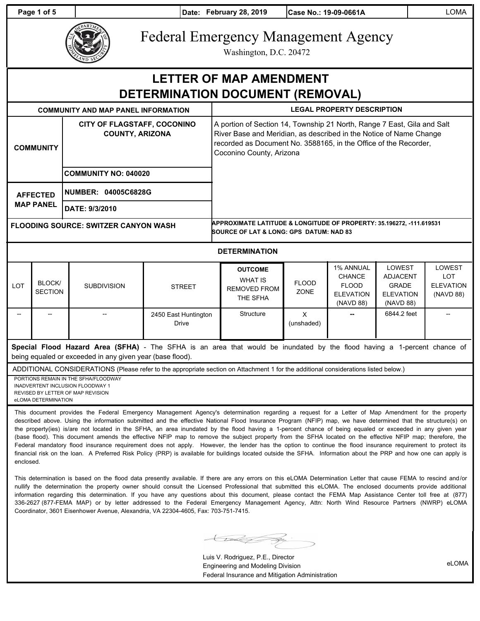**Page 1 of 5 Date: February 28, 2019 Case No.: 19-09-0661A** LOMA



# Federal Emergency Management Agency

Washington, D.C. 20472

## **LETTER OF MAP AMENDMENT DETERMINATION DOCUMENT (REMOVAL)**

| <b>COMMUNITY AND MAP PANEL INFORMATION</b>  |                          |                                                                                             |                                      | <b>LEGAL PROPERTY DESCRIPTION</b>                                                                                                                                                                                                             |                             |                                                                             |                                                                            |                                                       |
|---------------------------------------------|--------------------------|---------------------------------------------------------------------------------------------|--------------------------------------|-----------------------------------------------------------------------------------------------------------------------------------------------------------------------------------------------------------------------------------------------|-----------------------------|-----------------------------------------------------------------------------|----------------------------------------------------------------------------|-------------------------------------------------------|
| <b>COMMUNITY</b>                            |                          | <b>CITY OF FLAGSTAFF, COCONINO</b><br><b>COUNTY, ARIZONA</b><br><b>COMMUNITY NO: 040020</b> |                                      | A portion of Section 14, Township 21 North, Range 7 East, Gila and Salt<br>River Base and Meridian, as described in the Notice of Name Change<br>recorded as Document No. 3588165, in the Office of the Recorder,<br>Coconino County, Arizona |                             |                                                                             |                                                                            |                                                       |
| <b>AFFECTED</b><br><b>MAP PANEL</b>         |                          | NUMBER: 04005C6828G<br>DATE: 9/3/2010                                                       |                                      |                                                                                                                                                                                                                                               |                             |                                                                             |                                                                            |                                                       |
| <b>FLOODING SOURCE: SWITZER CANYON WASH</b> |                          |                                                                                             |                                      | APPROXIMATE LATITUDE & LONGITUDE OF PROPERTY: 35.196272, -111.619531<br><b>SOURCE OF LAT &amp; LONG: GPS DATUM: NAD 83</b>                                                                                                                    |                             |                                                                             |                                                                            |                                                       |
| <b>DETERMINATION</b>                        |                          |                                                                                             |                                      |                                                                                                                                                                                                                                               |                             |                                                                             |                                                                            |                                                       |
| <b>LOT</b>                                  | BLOCK/<br><b>SECTION</b> | <b>SUBDIVISION</b>                                                                          | <b>STREET</b>                        | <b>OUTCOME</b><br><b>WHAT IS</b><br><b>REMOVED FROM</b><br>THE SFHA                                                                                                                                                                           | <b>FLOOD</b><br><b>ZONE</b> | 1% ANNUAL<br><b>CHANCE</b><br><b>FLOOD</b><br><b>ELEVATION</b><br>(NAVD 88) | LOWEST<br><b>ADJACENT</b><br><b>GRADE</b><br><b>ELEVATION</b><br>(NAVD 88) | LOWEST<br><b>LOT</b><br><b>ELEVATION</b><br>(NAVD 88) |
|                                             |                          |                                                                                             | 2450 East Huntington<br><b>Drive</b> | Structure                                                                                                                                                                                                                                     | $\mathsf{x}$<br>(unshaded)  |                                                                             | 6844.2 feet                                                                |                                                       |

**Special Flood Hazard Area (SFHA)** - The SFHA is an area that would be inundated by the flood having a 1-percent chance of being equaled or exceeded in any given year (base flood).

ADDITIONAL CONSIDERATIONS (Please refer to the appropriate section on Attachment 1 for the additional considerations listed below.)

PORTIONS REMAIN IN THE SFHA/FLOODWAY INADVERTENT INCLUSION FLOODWAY 1 REVISED BY LETTER OF MAP REVISION eLOMA DETERMINATION

This document provides the Federal Emergency Management Agency's determination regarding a request for a Letter of Map Amendment for the property described above. Using the information submitted and the effective National Flood Insurance Program (NFIP) map, we have determined that the structure(s) on the property(ies) is/are not located in the SFHA, an area inundated by the flood having a 1-percent chance of being equaled or exceeded in any given year (base flood). This document amends the effective NFIP map to remove the subject property from the SFHA located on the effective NFIP map; therefore, the Federal mandatory flood insurance requirement does not apply. However, the lender has the option to continue the flood insurance requirement to protect its financial risk on the loan. A Preferred Risk Policy (PRP) is available for buildings located outside the SFHA. Information about the PRP and how one can apply is enclosed.

This determination is based on the flood data presently available. If there are any errors on this eLOMA Determination Letter that cause FEMA to rescind and/or nullify the determination the property owner should consult the Licensed Professional that submitted this eLOMA. The enclosed documents provide additional information regarding this determination. If you have any questions about this document, please contact the FEMA Map Assistance Center toll free at (877) 336-2627 (877-FEMA MAP) or by letter addressed to the Federal Emergency Management Agency, Attn: North Wind Resource Partners (NWRP) eLOMA Coordinator, 3601 Eisenhower Avenue, Alexandria, VA 22304-4605, Fax: 703-751-7415.

 $\bigcup_{\mathscr{P}}$ 

Luis V. Rodriguez, P.E., Director Engineering and Modeling Division Federal Insurance and Mitigation Administration

eLOMA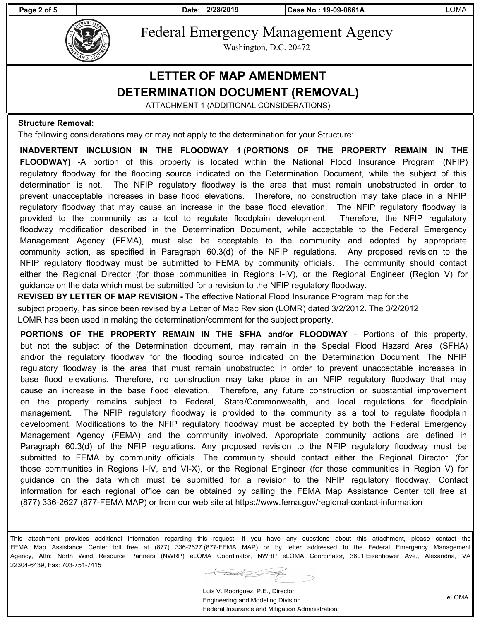**Page 2 of 5 Date: 2/28/2019 Case No : 19-09-0661A** LOMA



Federal Emergency Management Agency

Washington, D.C. 20472

### **LETTER OF MAP AMENDMENT DETERMINATION DOCUMENT (REMOVAL)**

ATTACHMENT 1 (ADDITIONAL CONSIDERATIONS)

#### **Structure Removal:**

The following considerations may or may not apply to the determination for your Structure:

**INADVERTENT INCLUSION IN THE FLOODWAY 1 (PORTIONS OF THE PROPERTY REMAIN IN THE FLOODWAY)** -A portion of this property is located within the National Flood Insurance Program (NFIP) regulatory floodway for the flooding source indicated on the Determination Document, while the subject of this determination is not. The NFIP regulatory floodway is the area that must remain unobstructed in order to prevent unacceptable increases in base flood elevations. Therefore, no construction may take place in a NFIP regulatory floodway that may cause an increase in the base flood elevation. The NFIP regulatory floodway is provided to the community as a tool to regulate floodplain development. Therefore, the NFIP regulatory floodway modification described in the Determination Document, while acceptable to the Federal Emergency Management Agency (FEMA), must also be acceptable to the community and adopted by appropriate community action, as specified in Paragraph 60.3(d) of the NFIP regulations. Any proposed revision to the NFIP regulatory floodway must be submitted to FEMA by community officials. The community should contact either the Regional Director (for those communities in Regions I-IV), or the Regional Engineer (Region V) for guidance on the data which must be submitted for a revision to the NFIP regulatory floodway.

**REVISED BY LETTER OF MAP REVISION -** The effective National Flood Insurance Program map for the subject property, has since been revised by a Letter of Map Revision (LOMR) dated 3/2/2012. The 3/2/2012 LOMR has been used in making the determination/comment for the subject property.

**PORTIONS OF THE PROPERTY REMAIN IN THE SFHA and/or FLOODWAY** - Portions of this property, but not the subject of the Determination document, may remain in the Special Flood Hazard Area (SFHA) and/or the regulatory floodway for the flooding source indicated on the Determination Document. The NFIP regulatory floodway is the area that must remain unobstructed in order to prevent unacceptable increases in base flood elevations. Therefore, no construction may take place in an NFIP regulatory floodway that may cause an increase in the base flood elevation. Therefore, any future construction or substantial improvement on the property remains subject to Federal, State/Commonwealth, and local regulations for floodplain management. The NFIP regulatory floodway is provided to the community as a tool to regulate floodplain development. Modifications to the NFIP regulatory floodway must be accepted by both the Federal Emergency Management Agency (FEMA) and the community involved. Appropriate community actions are defined in Paragraph 60.3(d) of the NFIP regulations. Any proposed revision to the NFIP regulatory floodway must be submitted to FEMA by community officials. The community should contact either the Regional Director (for those communities in Regions I-IV, and VI-X), or the Regional Engineer (for those communities in Region V) for guidance on the data which must be submitted for a revision to the NFIP regulatory floodway. Contact information for each regional office can be obtained by calling the FEMA Map Assistance Center toll free at (877) 336-2627 (877-FEMA MAP) or from our web site at https://www.fema.gov/regional-contact-information

This attachment provides additional information regarding this request. If you have any questions about this attachment, please contact the FEMA Map Assistance Center toll free at (877) 336-2627 (877-FEMA MAP) or by letter addressed to the Federal Emergency Management Agency, Attn: North Wind Resource Partners (NWRP) eLOMA Coordinator, NWRP eLOMA Coordinator, 3601 Eisenhower Ave., Alexandria, VA 22304-6439, Fax: 703-751-7415

Luis V. Rodriguez, P.E., Director Engineering and Modeling Division Federal Insurance and Mitigation Administration